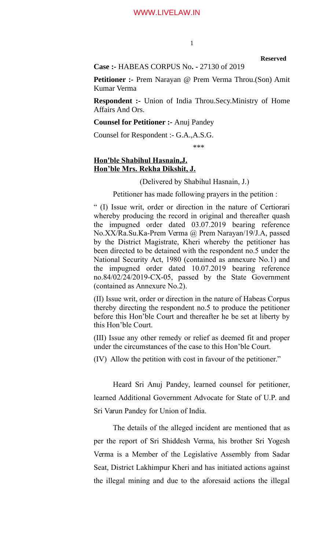**Reserved**

# **Case :-** HABEAS CORPUS No**. -** 27130 of 2019

**Petitioner :- Prem Narayan @ Prem Verma Throu.(Son) Amit** Kumar Verma

**Respondent :-** Union of India Throu.Secy.Ministry of Home Affairs And Ors.

## **Counsel for Petitioner :-** Anuj Pandey

Counsel for Respondent :- G.A.,A.S.G.

\*\*\*

# **Hon'ble Shabihul Hasnain,J. Hon'ble Mrs. Rekha Dikshit, J.**

(Delivered by Shabihul Hasnain, J.)

Petitioner has made following prayers in the petition :

" (I) Issue writ, order or direction in the nature of Certiorari whereby producing the record in original and thereafter quash the impugned order dated 03.07.2019 bearing reference No.XX/Ra.Su.Ka-Prem Verma @ Prem Narayan/19/J.A, passed by the District Magistrate, Kheri whereby the petitioner has been directed to be detained with the respondent no.5 under the National Security Act, 1980 (contained as annexure No.1) and the impugned order dated 10.07.2019 bearing reference no.84/02/24/2019-CX-05, passed by the State Government (contained as Annexure No.2).

(II) Issue writ, order or direction in the nature of Habeas Corpus thereby directing the respondent no.5 to produce the petitioner before this Hon'ble Court and thereafter he be set at liberty by this Hon'ble Court.

(III) Issue any other remedy or relief as deemed fit and proper under the circumstances of the case to this Hon'ble Court.

(IV) Allow the petition with cost in favour of the petitioner."

Heard Sri Anuj Pandey, learned counsel for petitioner, learned Additional Government Advocate for State of U.P. and Sri Varun Pandey for Union of India.

The details of the alleged incident are mentioned that as per the report of Sri Shiddesh Verma, his brother Sri Yogesh Verma is a Member of the Legislative Assembly from Sadar Seat, District Lakhimpur Kheri and has initiated actions against the illegal mining and due to the aforesaid actions the illegal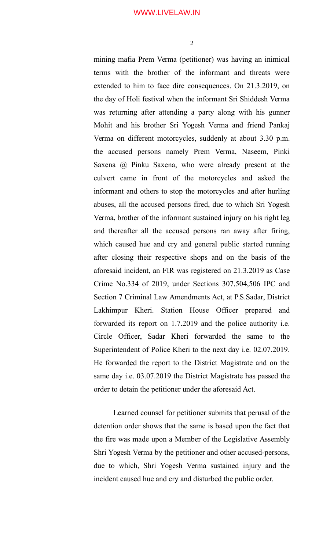mining mafia Prem Verma (petitioner) was having an inimical terms with the brother of the informant and threats were extended to him to face dire consequences. On 21.3.2019, on the day of Holi festival when the informant Sri Shiddesh Verma was returning after attending a party along with his gunner Mohit and his brother Sri Yogesh Verma and friend Pankaj Verma on different motorcycles, suddenly at about 3.30 p.m. the accused persons namely Prem Verma, Naseem, Pinki Saxena @ Pinku Saxena, who were already present at the culvert came in front of the motorcycles and asked the informant and others to stop the motorcycles and after hurling abuses, all the accused persons fired, due to which Sri Yogesh Verma, brother of the informant sustained injury on his right leg and thereafter all the accused persons ran away after firing, which caused hue and cry and general public started running after closing their respective shops and on the basis of the aforesaid incident, an FIR was registered on 21.3.2019 as Case Crime No.334 of 2019, under Sections 307,504,506 IPC and Section 7 Criminal Law Amendments Act, at P.S.Sadar, District Lakhimpur Kheri. Station House Officer prepared and forwarded its report on 1.7.2019 and the police authority i.e. Circle Officer, Sadar Kheri forwarded the same to the Superintendent of Police Kheri to the next day i.e. 02.07.2019. He forwarded the report to the District Magistrate and on the same day i.e. 03.07.2019 the District Magistrate has passed the order to detain the petitioner under the aforesaid Act.

Learned counsel for petitioner submits that perusal of the detention order shows that the same is based upon the fact that the fire was made upon a Member of the Legislative Assembly Shri Yogesh Verma by the petitioner and other accused-persons, due to which, Shri Yogesh Verma sustained injury and the incident caused hue and cry and disturbed the public order.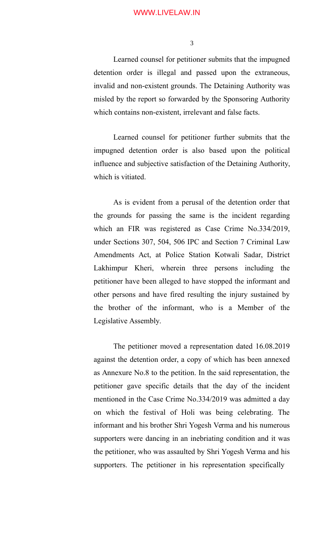3

Learned counsel for petitioner submits that the impugned detention order is illegal and passed upon the extraneous, invalid and non-existent grounds. The Detaining Authority was misled by the report so forwarded by the Sponsoring Authority which contains non-existent, irrelevant and false facts.

Learned counsel for petitioner further submits that the impugned detention order is also based upon the political influence and subjective satisfaction of the Detaining Authority, which is vitiated.

As is evident from a perusal of the detention order that the grounds for passing the same is the incident regarding which an FIR was registered as Case Crime No.334/2019, under Sections 307, 504, 506 IPC and Section 7 Criminal Law Amendments Act, at Police Station Kotwali Sadar, District Lakhimpur Kheri, wherein three persons including the petitioner have been alleged to have stopped the informant and other persons and have fired resulting the injury sustained by the brother of the informant, who is a Member of the Legislative Assembly.

The petitioner moved a representation dated 16.08.2019 against the detention order, a copy of which has been annexed as Annexure No.8 to the petition. In the said representation, the petitioner gave specific details that the day of the incident mentioned in the Case Crime No.334/2019 was admitted a day on which the festival of Holi was being celebrating. The informant and his brother Shri Yogesh Verma and his numerous supporters were dancing in an inebriating condition and it was the petitioner, who was assaulted by Shri Yogesh Verma and his supporters. The petitioner in his representation specifically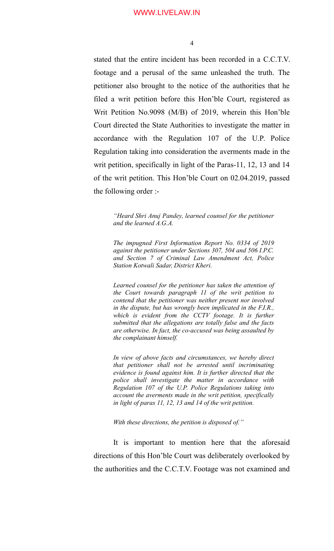stated that the entire incident has been recorded in a C.C.T.V. footage and a perusal of the same unleashed the truth. The petitioner also brought to the notice of the authorities that he filed a writ petition before this Hon'ble Court, registered as Writ Petition No.9098 (M/B) of 2019, wherein this Hon'ble Court directed the State Authorities to investigate the matter in accordance with the Regulation 107 of the U.P. Police Regulation taking into consideration the averments made in the writ petition, specifically in light of the Paras-11, 12, 13 and 14 of the writ petition. This Hon'ble Court on 02.04.2019, passed the following order :-

*"Heard Shri Anuj Pandey, learned counsel for the petitioner and the learned A.G.A.*

*The impugned First Information Report No. 0334 of 2019 against the petitioner under Sections 307, 504 and 506 I.P.C. and Section 7 of Criminal Law Amendment Act, Police Station Kotwali Sadar, District Kheri.*

*Learned counsel for the petitioner has taken the attention of the Court towards paragraph 11 of the writ petition to contend that the petitioner was neither present nor involved in the dispute, but has wrongly been implicated in the F.I.R., which is evident from the CCTV footage. It is further submitted that the allegations are totally false and the facts are otherwise. In fact, the co-accused was being assaulted by the complainant himself.*

*In view of above facts and circumstances, we hereby direct that petitioner shall not be arrested until incriminating evidence is found against him. It is further directed that the police shall investigate the matter in accordance with Regulation 107 of the U.P. Police Regulations taking into account the averments made in the writ petition, specifically in light of paras 11, 12, 13 and 14 of the writ petition.*

*With these directions, the petition is disposed of."*

It is important to mention here that the aforesaid directions of this Hon'ble Court was deliberately overlooked by the authorities and the C.C.T.V. Footage was not examined and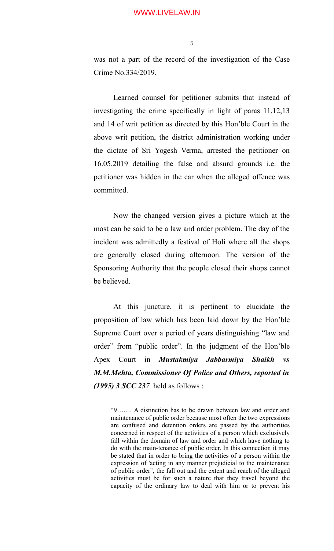was not a part of the record of the investigation of the Case Crime No.334/2019.

Learned counsel for petitioner submits that instead of investigating the crime specifically in light of paras 11,12,13 and 14 of writ petition as directed by this Hon'ble Court in the above writ petition, the district administration working under the dictate of Sri Yogesh Verma, arrested the petitioner on 16.05.2019 detailing the false and absurd grounds i.e. the petitioner was hidden in the car when the alleged offence was committed.

Now the changed version gives a picture which at the most can be said to be a law and order problem. The day of the incident was admittedly a festival of Holi where all the shops are generally closed during afternoon. The version of the Sponsoring Authority that the people closed their shops cannot be believed.

At this juncture, it is pertinent to elucidate the proposition of law which has been laid down by the Hon'ble Supreme Court over a period of years distinguishing "law and order" from "public order". In the judgment of the Hon'ble Apex Court in *Mustakmiya Jabbarmiya Shaikh vs M.M.Mehta, Commissioner Of Police and Others, reported in (1995) 3 SCC 237* held as follows :

"9……. A distinction has to be drawn between law and order and maintenance of public order because most often the two expressions are confused and detention orders are passed by the authorities concerned in respect of the activities of a person which exclusively fall within the domain of law and order and which have nothing to do with the main-tenance of public order. In this connection it may be stated that in order to bring the activities of a person within the expression of 'acting in any manner prejudicial to the maintenance of public order", the fall out and the extent and reach of the alleged activities must be for such a nature that they travel beyond the capacity of the ordinary law to deal with him or to prevent his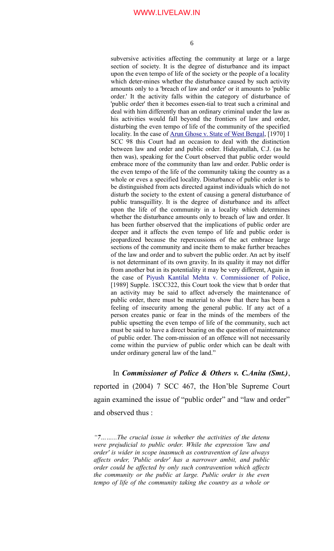subversive activities affecting the community at large or a large section of society. It is the degree of disturbance and its impact upon the even tempo of life of the society or the people of a locality which deter-mines whether the disturbance caused by such activity amounts only to a 'breach of law and order' or it amounts to 'public order.' It the activity falls within the category of disturbance of 'public order' then it becomes essen-tial to treat such a criminal and deal with him differently than an ordinary criminal under the law as his activities would fall beyond the frontiers of law and order, disturbing the even tempo of life of the community of the specified locality. In the case of [Arun Ghose v. State of West Bengal,](https://indiankanoon.org/doc/675104/) [1970] 1 SCC 98 this Court had an occasion to deal with the distinction between law and order and public order. Hidayatullah, C.J. (as he then was), speaking for the Court observed that public order would embrace more of the community than law and order. Public order is the even tempo of the life of the community taking the country as a whole or eves a specified locality. Disturbance of public order is to be distinguished from acts directed against individuals which do not disturb the society to the extent of causing a general disturbance of public transquillity. It is the degree of disturbance and its affect upon the life of the community in a locality which determines whether the disturbance amounts only to breach of law and order. It has been further observed that the implications of public order are deeper and it affects the even tempo of life and public order is jeopardized because the repercussions of the act embrace large sections of the community and incite them to make further breaches of the law and order and to subvert the public order. An act by itself is not determinant of its own gravity. In its quality it may not differ from another but in its potentiality it may be very different, Again in the case of [Piyush Kantilal Mehta v. Commissioner of Police,](https://indiankanoon.org/doc/575391/) [1989] Supple. 1SCC322, this Court took the view that b order that an activity may be said to affect adversely the maintenance of public order, there must be material to show that there has been a feeling of insecurity among the general public. If any act of a person creates panic or fear in the minds of the members of the public upsetting the even tempo of life of the community, such act must be said to have a direct bearing on the question of maintenance of public order. The com-mission of an offence will not necessarily come within the purview of public order which can be dealt with under ordinary general law of the land."

In *Commissioner of Police & Others v. C.Anita (Smt.)*, reported in (2004) 7 SCC 467, the Hon'ble Supreme Court again examined the issue of "public order" and "law and order" and observed thus :

*<sup>&</sup>quot;7……...The crucial issue is whether the activities of the detenu were prejudicial to public order. While the expression 'law and order' is wider in scope inasmuch as contravention of law always affects order, 'Public order' has a narrower ambit, and public order could be affected by only such contravention which affects the community or the public at large. Public order is the even tempo of life of the community taking the country as a whole or*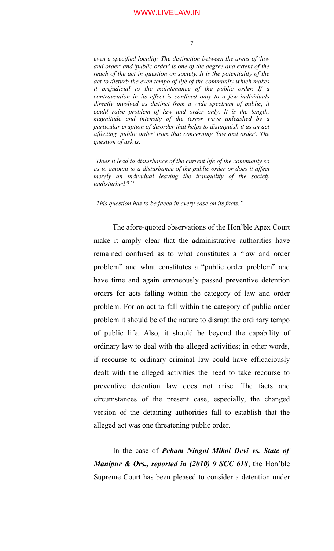*even a specified locality. The distinction between the areas of 'law and order' and 'public order' is one of the degree and extent of the reach of the act in question on society. It is the potentiality of the act to disturb the even tempo of life of the community which makes it prejudicial to the maintenance of the public order. If a contravention in its effect is confined only to a few individuals directly involved as distinct from a wide spectrum of public, it could raise problem of law and order only. It is the length, magnitude and intensity of the terror wave unleashed by a particular eruption of disorder that helps to distinguish it as an act affecting 'public order' from that concerning 'law and order'. The question of ask is;*

*"Does it lead to disturbance of the current life of the community so as to amount to a disturbance of the public order or does it affect merely an individual leaving the tranquility of the society undisturbed* ? "

*This question has to be faced in every case on its facts."*

 The afore-quoted observations of the Hon'ble Apex Court make it amply clear that the administrative authorities have remained confused as to what constitutes a "law and order problem" and what constitutes a "public order problem" and have time and again erroneously passed preventive detention orders for acts falling within the category of law and order problem. For an act to fall within the category of public order problem it should be of the nature to disrupt the ordinary tempo of public life. Also, it should be beyond the capability of ordinary law to deal with the alleged activities; in other words, if recourse to ordinary criminal law could have efficaciously dealt with the alleged activities the need to take recourse to preventive detention law does not arise. The facts and circumstances of the present case, especially, the changed version of the detaining authorities fall to establish that the alleged act was one threatening public order.

In the case of *Pebam Ningol Mikoi Devi vs. State of Manipur & Ors., reported in (2010) 9 SCC 618*, the Hon'ble Supreme Court has been pleased to consider a detention under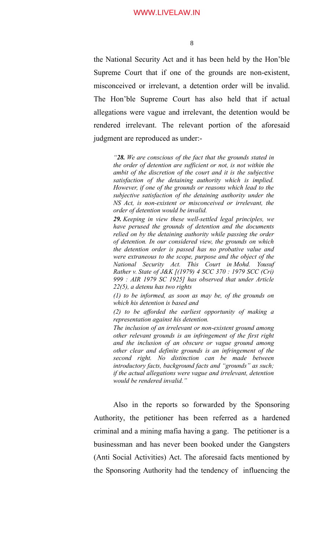the National Security Act and it has been held by the Hon'ble Supreme Court that if one of the grounds are non-existent, misconceived or irrelevant, a detention order will be invalid. The Hon'ble Supreme Court has also held that if actual allegations were vague and irrelevant, the detention would be rendered irrelevant. The relevant portion of the aforesaid judgment are reproduced as under:-

*"28. We are conscious of the fact that the grounds stated in the order of detention are sufficient or not, is not within the ambit of the discretion of the court and it is the subjective satisfaction of the detaining authority which is implied. However, if one of the grounds or reasons which lead to the subjective satisfaction of the detaining authority under the NS Act, is non-existent or misconceived or irrelevant, the order of detention would be invalid.*

*29. Keeping in view these well-settled legal principles, we have perused the grounds of detention and the documents relied on by the detaining authority while passing the order of detention. In our considered view, the grounds on which the detention order is passed has no probative value and were extraneous to the scope, purpose and the object of the National Security Act. This Court in Mohd. Yousuf Rather v. State of J&K [(1979) 4 SCC 370 : 1979 SCC (Cri) 999 : AIR 1979 SC 1925] has observed that under Article 22(5), a detenu has two rights*

*(1) to be informed, as soon as may be, of the grounds on which his detention is based and*

*(2) to be afforded the earliest opportunity of making a representation against his detention.*

*The inclusion of an irrelevant or non-existent ground among other relevant grounds is an infringement of the first right and the inclusion of an obscure or vague ground among other clear and definite grounds is an infringement of the second right. No distinction can be made between introductory facts, background facts and "grounds" as such; if the actual allegations were vague and irrelevant, detention would be rendered invalid."*

Also in the reports so forwarded by the Sponsoring Authority, the petitioner has been referred as a hardened criminal and a mining mafia having a gang. The petitioner is a businessman and has never been booked under the Gangsters (Anti Social Activities) Act. The aforesaid facts mentioned by the Sponsoring Authority had the tendency of influencing the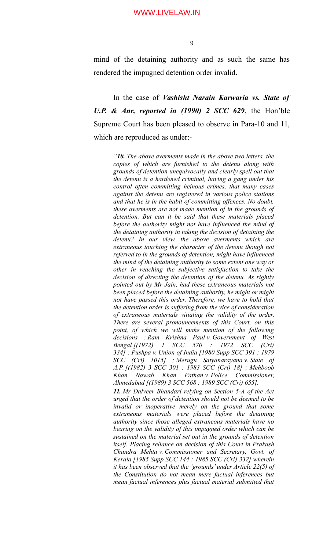mind of the detaining authority and as such the same has rendered the impugned detention order invalid.

In the case of *Vashisht Narain Karwaria vs. State of U.P. & Anr, reported in (1990) 2 SCC 629*, the Hon'ble Supreme Court has been pleased to observe in Para-10 and 11, which are reproduced as under:-

> *"10. The above averments made in the above two letters, the copies of which are furnished to the detenu along with grounds of detention unequivocally and clearly spell out that the detenu is a hardened criminal, having a gang under his control often committing heinous crimes, that many cases against the detenu are registered in various police stations and that he is in the habit of committing offences. No doubt, these averments are not made mention of in the grounds of detention. But can it be said that these materials placed before the authority might not have influenced the mind of the detaining authority in taking the decision of detaining the detenu? In our view, the above averments which are extraneous touching the character of the detenu though not referred to in the grounds of detention, might have influenced the mind of the detaining authority to some extent one way or other in reaching the subjective satisfaction to take the decision of directing the detention of the detenu. As rightly pointed out by Mr Jain, had these extraneous materials not been placed before the detaining authority, he might or might not have passed this order. Therefore, we have to hold that the detention order is suffering from the vice of consideration of extraneous materials vitiating the validity of the order. There are several pronouncements of this Court, on this point, of which we will make mention of the following decisions : Ram Krishna Paul v. Government of West Bengal [(1972) 1 SCC 570 : 1972 SCC (Cri) 334] ; Pushpa v. Union of India [1980 Supp SCC 391 : 1979 SCC (Cri) 1015] ; Merugu Satyanarayana v. State of A.P.[(1982) 3 SCC 301 : 1983 SCC (Cri) 18] ; Mehboob Khan Nawab Khan Pathan v. Police Commissioner, Ahmedabad [(1989) 3 SCC 568 : 1989 SCC (Cri) 655].*

> *11. Mr Dalveer Bhandari relying on Section 5-A of the Act urged that the order of detention should not be deemed to be invalid or inoperative merely on the ground that some extraneous materials were placed before the detaining authority since those alleged extraneous materials have no bearing on the validity of this impugned order which can be sustained on the material set out in the grounds of detention itself. Placing reliance on decision of this Court in Prakash Chandra Mehta v. Commissioner and Secretary, Govt. of Kerala [1985 Supp SCC 144 : 1985 SCC (Cri) 332] wherein it has been observed that the 'grounds' under Article 22(5) of the Constitution do not mean mere factual inferences but mean factual inferences plus factual material submitted that*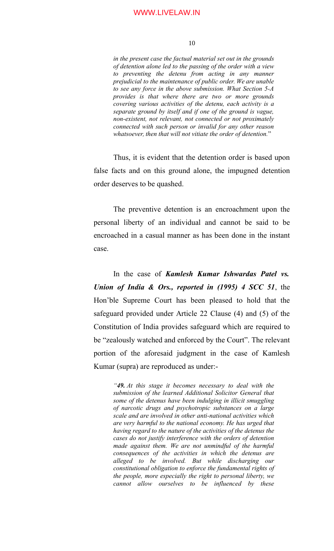#### 10

*in the present case the factual material set out in the grounds of detention alone led to the passing of the order with a view to preventing the detenu from acting in any manner prejudicial to the maintenance of public order. We are unable to see any force in the above submission. What Section 5-A provides is that where there are two or more grounds covering various activities of the detenu, each activity is a separate ground by itself and if one of the ground is vague, non-existent, not relevant, not connected or not proximately connected with such person or invalid for any other reason whatsoever, then that will not vitiate the order of detention.*"

Thus, it is evident that the detention order is based upon false facts and on this ground alone, the impugned detention order deserves to be quashed.

The preventive detention is an encroachment upon the personal liberty of an individual and cannot be said to be encroached in a casual manner as has been done in the instant case.

In the case of *Kamlesh Kumar Ishwardas Patel vs. Union of India & Ors., reported in (1995) 4 SCC 51*, the Hon'ble Supreme Court has been pleased to hold that the safeguard provided under Article 22 Clause (4) and (5) of the Constitution of India provides safeguard which are required to be "zealously watched and enforced by the Court". The relevant portion of the aforesaid judgment in the case of Kamlesh Kumar (supra) are reproduced as under:-

*"49. At this stage it becomes necessary to deal with the submission of the learned Additional Solicitor General that some of the detenus have been indulging in illicit smuggling of narcotic drugs and psychotropic substances on a large scale and are involved in other anti-national activities which are very harmful to the national economy. He has urged that having regard to the nature of the activities of the detenus the cases do not justify interference with the orders of detention made against them. We are not unmindful of the harmful consequences of the activities in which the detenus are alleged to be involved. But while discharging our constitutional obligation to enforce the fundamental rights of the people, more especially the right to personal liberty, we cannot allow ourselves to be influenced by these*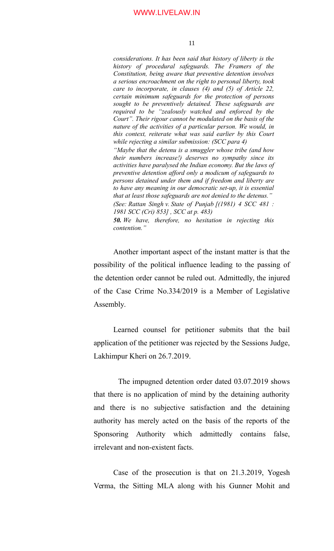*considerations. It has been said that history of liberty is the history of procedural safeguards. The Framers of the Constitution, being aware that preventive detention involves a serious encroachment on the right to personal liberty, took care to incorporate, in clauses (4) and (5) of Article 22, certain minimum safeguards for the protection of persons sought to be preventively detained. These safeguards are required to be "zealously watched and enforced by the Court". Their rigour cannot be modulated on the basis of the nature of the activities of a particular person. We would, in this context, reiterate what was said earlier by this Court while rejecting a similar submission: (SCC para 4) "Maybe that the detenu is a smuggler whose tribe (and how their numbers increase!) deserves no sympathy since its activities have paralysed the Indian economy. But the laws of preventive detention afford only a modicum of safeguards to persons detained under them and if freedom and liberty are to have any meaning in our democratic set-up, it is essential that at least those safeguards are not denied to the detenus." (See: Rattan Singh v. State of Punjab [(1981) 4 SCC 481 : 1981 SCC (Cri) 853] , SCC at p. 483) 50. We have, therefore, no hesitation in rejecting this contention."*

Another important aspect of the instant matter is that the possibility of the political influence leading to the passing of the detention order cannot be ruled out. Admittedly, the injured of the Case Crime No.334/2019 is a Member of Legislative Assembly.

Learned counsel for petitioner submits that the bail application of the petitioner was rejected by the Sessions Judge, Lakhimpur Kheri on 26.7.2019.

 The impugned detention order dated 03.07.2019 shows that there is no application of mind by the detaining authority and there is no subjective satisfaction and the detaining authority has merely acted on the basis of the reports of the Sponsoring Authority which admittedly contains false, irrelevant and non-existent facts.

Case of the prosecution is that on 21.3.2019, Yogesh Verma, the Sitting MLA along with his Gunner Mohit and